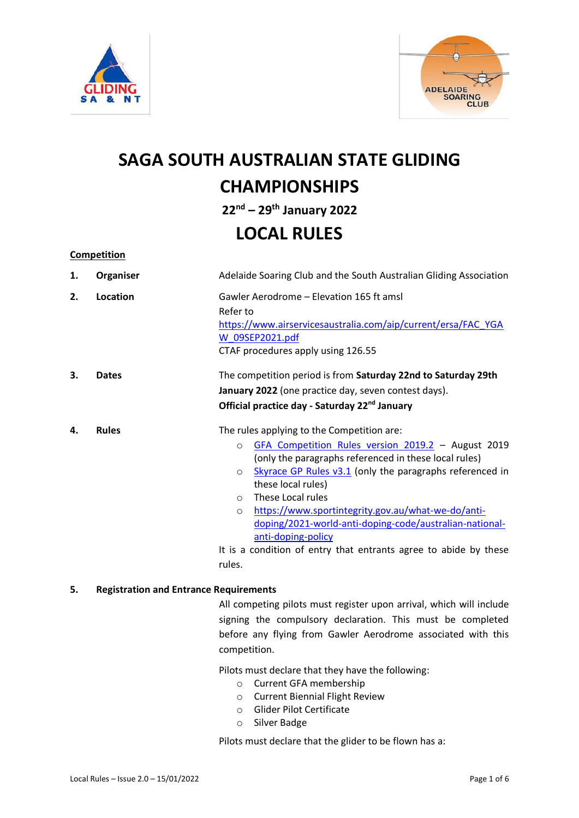



# **SAGA SOUTH AUSTRALIAN STATE GLIDING CHAMPIONSHIPS 22 nd – 29 th January 2022**

## **LOCAL RULES**

**Competition**

| 1. | Organiser    | Adelaide Soaring Club and the South Australian Gliding Association                                                                                                                                                                                                                                                                                                                                                                                                                                                      |
|----|--------------|-------------------------------------------------------------------------------------------------------------------------------------------------------------------------------------------------------------------------------------------------------------------------------------------------------------------------------------------------------------------------------------------------------------------------------------------------------------------------------------------------------------------------|
| 2. | Location     | Gawler Aerodrome - Elevation 165 ft amsl<br>Refer to<br>https://www.airservicesaustralia.com/aip/current/ersa/FAC YGA<br>W 09SEP2021.pdf<br>CTAF procedures apply using 126.55                                                                                                                                                                                                                                                                                                                                          |
| 3. | <b>Dates</b> | The competition period is from Saturday 22nd to Saturday 29th<br>January 2022 (one practice day, seven contest days).<br>Official practice day - Saturday 22 <sup>nd</sup> January                                                                                                                                                                                                                                                                                                                                      |
| 4. | <b>Rules</b> | The rules applying to the Competition are:<br>GFA Competition Rules version 2019.2 - August 2019<br>$\circ$<br>(only the paragraphs referenced in these local rules)<br>Skyrace GP Rules v3.1 (only the paragraphs referenced in<br>$\circ$<br>these local rules)<br>These Local rules<br>$\circ$<br>https://www.sportintegrity.gov.au/what-we-do/anti-<br>$\circ$<br>doping/2021-world-anti-doping-code/australian-national-<br>anti-doping-policy<br>It is a condition of entry that entrants agree to abide by these |

rules.

#### **5. Registration and Entrance Requirements**

All competing pilots must register upon arrival, which will include signing the compulsory declaration. This must be completed before any flying from Gawler Aerodrome associated with this competition.

Pilots must declare that they have the following:

- o Current GFA membership
- o Current Biennial Flight Review
- o Glider Pilot Certificate
- o Silver Badge

Pilots must declare that the glider to be flown has a: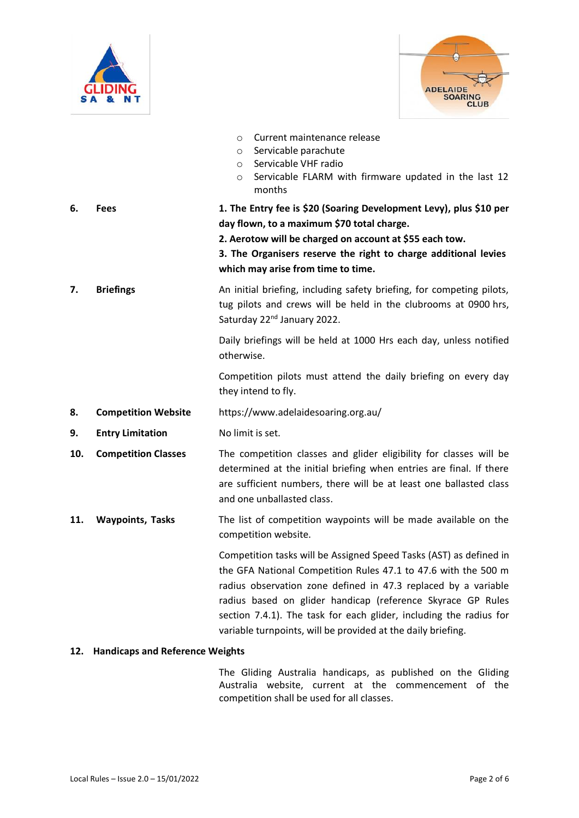



|     |                            | Current maintenance release<br>$\circ$<br>Servicable parachute<br>$\circ$<br>Servicable VHF radio<br>$\circ$<br>Servicable FLARM with firmware updated in the last 12<br>O<br>months                                                                                                                                                                                                                        |
|-----|----------------------------|-------------------------------------------------------------------------------------------------------------------------------------------------------------------------------------------------------------------------------------------------------------------------------------------------------------------------------------------------------------------------------------------------------------|
| 6.  | <b>Fees</b>                | 1. The Entry fee is \$20 (Soaring Development Levy), plus \$10 per<br>day flown, to a maximum \$70 total charge.<br>2. Aerotow will be charged on account at \$55 each tow.<br>3. The Organisers reserve the right to charge additional levies<br>which may arise from time to time.                                                                                                                        |
| 7.  | <b>Briefings</b>           | An initial briefing, including safety briefing, for competing pilots,<br>tug pilots and crews will be held in the clubrooms at 0900 hrs,<br>Saturday 22 <sup>nd</sup> January 2022.                                                                                                                                                                                                                         |
|     |                            | Daily briefings will be held at 1000 Hrs each day, unless notified<br>otherwise.                                                                                                                                                                                                                                                                                                                            |
|     |                            | Competition pilots must attend the daily briefing on every day<br>they intend to fly.                                                                                                                                                                                                                                                                                                                       |
| 8.  | <b>Competition Website</b> | https://www.adelaidesoaring.org.au/                                                                                                                                                                                                                                                                                                                                                                         |
| 9.  | <b>Entry Limitation</b>    | No limit is set.                                                                                                                                                                                                                                                                                                                                                                                            |
| 10. | <b>Competition Classes</b> | The competition classes and glider eligibility for classes will be<br>determined at the initial briefing when entries are final. If there<br>are sufficient numbers, there will be at least one ballasted class<br>and one unballasted class.                                                                                                                                                               |
| 11. | <b>Waypoints, Tasks</b>    | The list of competition waypoints will be made available on the<br>competition website.                                                                                                                                                                                                                                                                                                                     |
|     |                            | Competition tasks will be Assigned Speed Tasks (AST) as defined in<br>the GFA National Competition Rules 47.1 to 47.6 with the 500 m<br>radius observation zone defined in 47.3 replaced by a variable<br>radius based on glider handicap (reference Skyrace GP Rules<br>section 7.4.1). The task for each glider, including the radius for<br>variable turnpoints, will be provided at the daily briefing. |

### **12. Handicaps and Reference Weights**

The Gliding Australia handicaps, as published on the Gliding Australia website, current at the commencement of the competition shall be used for all classes.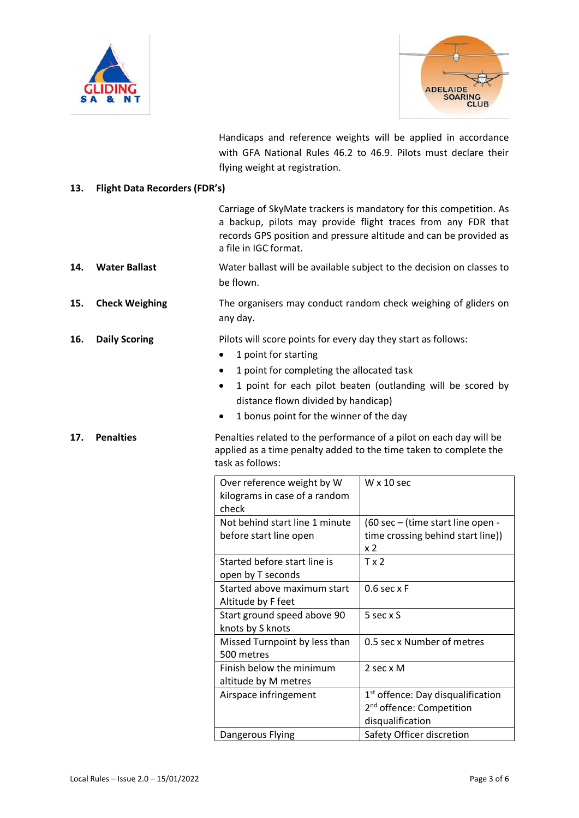



Handicaps and reference weights will be applied in accordance with GFA National Rules 46.2 to 46.9. Pilots must declare their flying weight at registration.

### **13. Flight Data Recorders (FDR's)**

|     |                       | a file in IGC format.                                                                                                                                                                                                                  | Carriage of SkyMate trackers is mandatory for this competition. As<br>a backup, pilots may provide flight traces from any FDR that<br>records GPS position and pressure altitude and can be provided as |
|-----|-----------------------|----------------------------------------------------------------------------------------------------------------------------------------------------------------------------------------------------------------------------------------|---------------------------------------------------------------------------------------------------------------------------------------------------------------------------------------------------------|
| 14. | <b>Water Ballast</b>  | be flown.                                                                                                                                                                                                                              | Water ballast will be available subject to the decision on classes to                                                                                                                                   |
| 15. | <b>Check Weighing</b> | any day.                                                                                                                                                                                                                               | The organisers may conduct random check weighing of gliders on                                                                                                                                          |
| 16. | <b>Daily Scoring</b>  | Pilots will score points for every day they start as follows:<br>1 point for starting<br>1 point for completing the allocated task<br>$\bullet$<br>distance flown divided by handicap)<br>1 bonus point for the winner of the day<br>٠ | 1 point for each pilot beaten (outlanding will be scored by                                                                                                                                             |
| 17. | <b>Penalties</b>      | task as follows:                                                                                                                                                                                                                       | Penalties related to the performance of a pilot on each day will be<br>applied as a time penalty added to the time taken to complete the                                                                |
|     |                       | Over reference weight by W<br>kilograms in case of a random<br>check                                                                                                                                                                   | $W \times 10$ sec                                                                                                                                                                                       |
|     |                       | Not behind start line 1 minute<br>before start line open                                                                                                                                                                               | (60 sec - (time start line open -<br>time crossing behind start line))<br>x <sub>2</sub>                                                                                                                |
|     |                       | Started before start line is<br>open by T seconds                                                                                                                                                                                      | Tx2                                                                                                                                                                                                     |
|     |                       | Started above maximum start<br>Altitude by F feet                                                                                                                                                                                      | $0.6$ sec $xF$                                                                                                                                                                                          |
|     |                       | Start ground speed above 90<br>knots by S knots                                                                                                                                                                                        | 5 sec x S                                                                                                                                                                                               |
|     |                       | Missed Turnpoint by less than<br>500 metres                                                                                                                                                                                            | 0.5 sec x Number of metres                                                                                                                                                                              |
|     |                       | Finish below the minimum<br>altitude by M metres                                                                                                                                                                                       | 2 sec x M                                                                                                                                                                                               |
|     |                       | Airspace infringement                                                                                                                                                                                                                  | 1 <sup>st</sup> offence: Day disqualification<br>2 <sup>nd</sup> offence: Competition<br>disqualification                                                                                               |
|     |                       | Dangerous Flying                                                                                                                                                                                                                       | Safety Officer discretion                                                                                                                                                                               |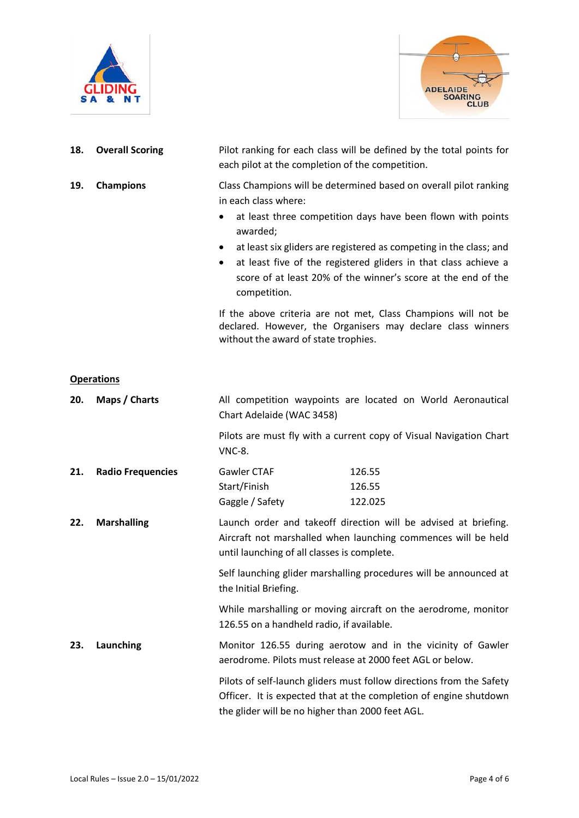



| 18.                                                                      | <b>Overall Scoring</b>   | Pilot ranking for each class will be defined by the total points for<br>each pilot at the completion of the competition.         |                                                                                                                                                                                                                                                                                                                                            |
|--------------------------------------------------------------------------|--------------------------|----------------------------------------------------------------------------------------------------------------------------------|--------------------------------------------------------------------------------------------------------------------------------------------------------------------------------------------------------------------------------------------------------------------------------------------------------------------------------------------|
| 19.                                                                      | <b>Champions</b>         | in each class where:<br>$\bullet$<br>awarded;<br>٠<br>$\bullet$<br>competition.                                                  | Class Champions will be determined based on overall pilot ranking<br>at least three competition days have been flown with points<br>at least six gliders are registered as competing in the class; and<br>at least five of the registered gliders in that class achieve a<br>score of at least 20% of the winner's score at the end of the |
|                                                                          |                          | without the award of state trophies.                                                                                             | If the above criteria are not met, Class Champions will not be<br>declared. However, the Organisers may declare class winners                                                                                                                                                                                                              |
|                                                                          | <b>Operations</b>        |                                                                                                                                  |                                                                                                                                                                                                                                                                                                                                            |
| 20.                                                                      | Maps / Charts            | Chart Adelaide (WAC 3458)                                                                                                        | All competition waypoints are located on World Aeronautical                                                                                                                                                                                                                                                                                |
|                                                                          |                          | <b>VNC-8.</b>                                                                                                                    | Pilots are must fly with a current copy of Visual Navigation Chart                                                                                                                                                                                                                                                                         |
| 21.                                                                      | <b>Radio Frequencies</b> | Gawler CTAF                                                                                                                      | 126.55                                                                                                                                                                                                                                                                                                                                     |
|                                                                          |                          | Start/Finish                                                                                                                     | 126.55                                                                                                                                                                                                                                                                                                                                     |
|                                                                          |                          | Gaggle / Safety                                                                                                                  | 122.025                                                                                                                                                                                                                                                                                                                                    |
| <b>Marshalling</b><br>22.<br>until launching of all classes is complete. |                          | Launch order and takeoff direction will be advised at briefing.<br>Aircraft not marshalled when launching commences will be held |                                                                                                                                                                                                                                                                                                                                            |
|                                                                          |                          | the Initial Briefing.                                                                                                            | Self launching glider marshalling procedures will be announced at                                                                                                                                                                                                                                                                          |
|                                                                          |                          | 126.55 on a handheld radio, if available.                                                                                        | While marshalling or moving aircraft on the aerodrome, monitor                                                                                                                                                                                                                                                                             |
| 23.                                                                      | Launching                |                                                                                                                                  | Monitor 126.55 during aerotow and in the vicinity of Gawler<br>aerodrome. Pilots must release at 2000 feet AGL or below.                                                                                                                                                                                                                   |
|                                                                          |                          |                                                                                                                                  | Pilots of self-launch gliders must follow directions from the Safety                                                                                                                                                                                                                                                                       |

Pilots of self-launch gliders must follow directions from the Safety Officer. It is expected that at the completion of engine shutdown the glider will be no higher than 2000 feet AGL.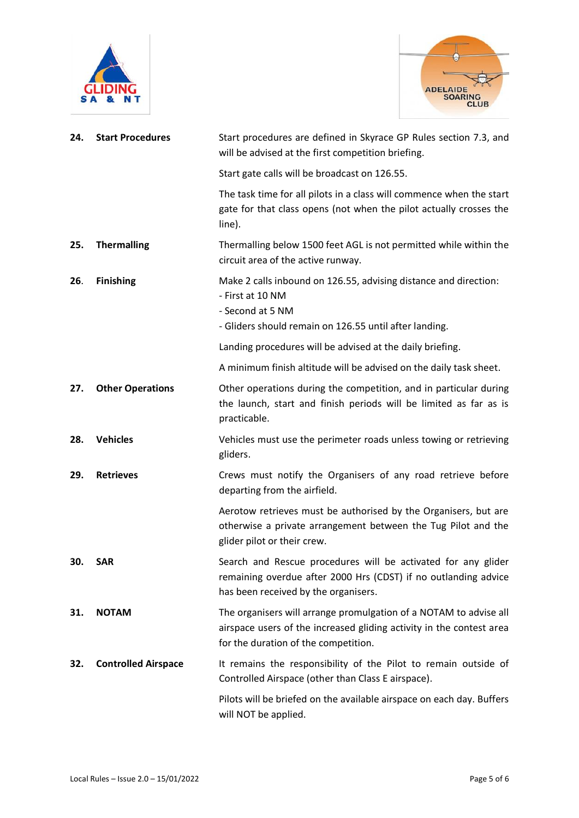



| 24. | <b>Start Procedures</b>    | Start procedures are defined in Skyrace GP Rules section 7.3, and<br>will be advised at the first competition briefing.                                                           |
|-----|----------------------------|-----------------------------------------------------------------------------------------------------------------------------------------------------------------------------------|
|     |                            | Start gate calls will be broadcast on 126.55.                                                                                                                                     |
|     |                            | The task time for all pilots in a class will commence when the start<br>gate for that class opens (not when the pilot actually crosses the<br>line).                              |
| 25. | <b>Thermalling</b>         | Thermalling below 1500 feet AGL is not permitted while within the<br>circuit area of the active runway.                                                                           |
| 26. | <b>Finishing</b>           | Make 2 calls inbound on 126.55, advising distance and direction:<br>- First at 10 NM<br>- Second at 5 NM<br>- Gliders should remain on 126.55 until after landing.                |
|     |                            | Landing procedures will be advised at the daily briefing.                                                                                                                         |
|     |                            | A minimum finish altitude will be advised on the daily task sheet.                                                                                                                |
| 27. | <b>Other Operations</b>    | Other operations during the competition, and in particular during<br>the launch, start and finish periods will be limited as far as is<br>practicable.                            |
| 28. | <b>Vehicles</b>            | Vehicles must use the perimeter roads unless towing or retrieving<br>gliders.                                                                                                     |
| 29. | <b>Retrieves</b>           | Crews must notify the Organisers of any road retrieve before<br>departing from the airfield.                                                                                      |
|     |                            | Aerotow retrieves must be authorised by the Organisers, but are<br>otherwise a private arrangement between the Tug Pilot and the<br>glider pilot or their crew.                   |
| 30. | SAR                        | Search and Rescue procedures will be activated for any glider<br>remaining overdue after 2000 Hrs (CDST) if no outlanding advice<br>has been received by the organisers.          |
| 31. | <b>NOTAM</b>               | The organisers will arrange promulgation of a NOTAM to advise all<br>airspace users of the increased gliding activity in the contest area<br>for the duration of the competition. |
| 32. | <b>Controlled Airspace</b> | It remains the responsibility of the Pilot to remain outside of<br>Controlled Airspace (other than Class E airspace).                                                             |
|     |                            | Pilots will be briefed on the available airspace on each day. Buffers<br>will NOT be applied.                                                                                     |